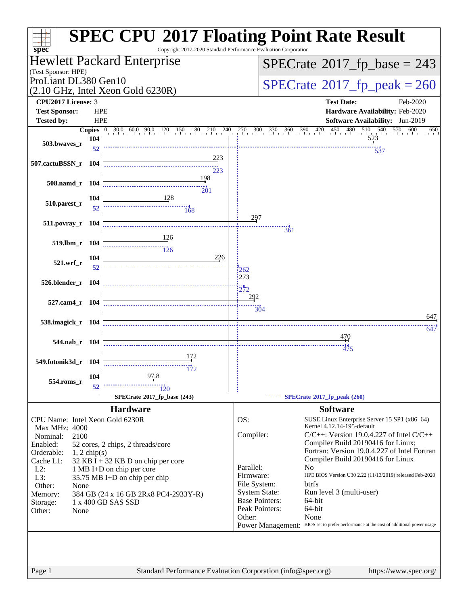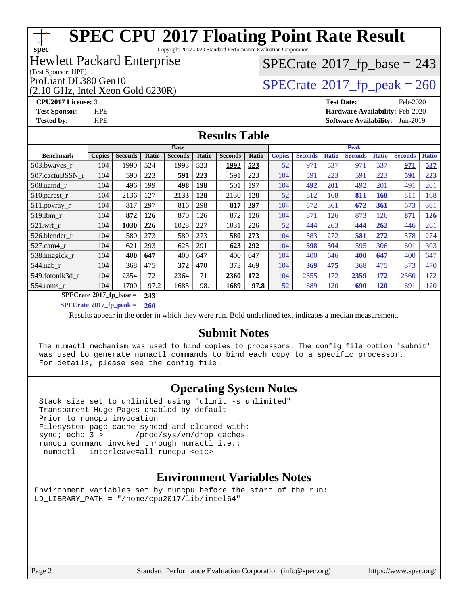# **[spec](http://www.spec.org/)**

# **[SPEC CPU](http://www.spec.org/auto/cpu2017/Docs/result-fields.html#SPECCPU2017FloatingPointRateResult)[2017 Floating Point Rate Result](http://www.spec.org/auto/cpu2017/Docs/result-fields.html#SPECCPU2017FloatingPointRateResult)**

Copyright 2017-2020 Standard Performance Evaluation Corporation

### Hewlett Packard Enterprise

#### (Test Sponsor: HPE)

(2.10 GHz, Intel Xeon Gold 6230R)

# $SPECTate$ <sup>®</sup>[2017\\_fp\\_base =](http://www.spec.org/auto/cpu2017/Docs/result-fields.html#SPECrate2017fpbase) 243

ProLiant DL380 Gen10<br>  $(2.10 \text{ GHz} \text{ Intel } \text{Xeon Gold } 6230\text{R})$   $\text{SPECrate} \textcircled{2017\_fp\_peak} = 260$  $\text{SPECrate} \textcircled{2017\_fp\_peak} = 260$  $\text{SPECrate} \textcircled{2017\_fp\_peak} = 260$ 

**[CPU2017 License:](http://www.spec.org/auto/cpu2017/Docs/result-fields.html#CPU2017License)** 3 **[Test Date:](http://www.spec.org/auto/cpu2017/Docs/result-fields.html#TestDate)** Feb-2020 **[Test Sponsor:](http://www.spec.org/auto/cpu2017/Docs/result-fields.html#TestSponsor)** HPE **[Hardware Availability:](http://www.spec.org/auto/cpu2017/Docs/result-fields.html#HardwareAvailability)** Feb-2020 **[Tested by:](http://www.spec.org/auto/cpu2017/Docs/result-fields.html#Testedby)** HPE **[Software Availability:](http://www.spec.org/auto/cpu2017/Docs/result-fields.html#SoftwareAvailability)** Jun-2019

#### **[Results Table](http://www.spec.org/auto/cpu2017/Docs/result-fields.html#ResultsTable)**

|                                  | <b>Base</b>   |                |       |                |       |                | <b>Peak</b> |               |                |              |                |              |                |              |
|----------------------------------|---------------|----------------|-------|----------------|-------|----------------|-------------|---------------|----------------|--------------|----------------|--------------|----------------|--------------|
| <b>Benchmark</b>                 | <b>Copies</b> | <b>Seconds</b> | Ratio | <b>Seconds</b> | Ratio | <b>Seconds</b> | Ratio       | <b>Copies</b> | <b>Seconds</b> | <b>Ratio</b> | <b>Seconds</b> | <b>Ratio</b> | <b>Seconds</b> | <b>Ratio</b> |
| 503.bwaves_r                     | 104           | 1990           | 524   | 1993           | 523   | 1992           | 523         | 52            | 971            | 537          | 971            | 537          | 971            | 537          |
| 507.cactuBSSN r                  | 104           | 590            | 223   | 591            | 223   | 591            | 223         | 104           | 591            | 223          | 591            | 223          | 591            | 223          |
| $508$ .namd $r$                  | 104           | 496            | 199   | 498            | 198   | 501            | 197         | 104           | <u>492</u>     | 201          | 492            | 201          | 491            | 201          |
| 510.parest_r                     | 104           | 2136           | 127   | 2133           | 128   | 2130           | 128         | 52            | 812            | 168          | <u>811</u>     | 168          | 811            | 168          |
| 511.povray_r                     | 104           | 817            | 297   | 816            | 298   | 817            | 297         | 104           | 672            | 361          | 672            | <u>361</u>   | 673            | 361          |
| 519.1bm r                        | 104           | 872            | 126   | 870            | 126   | 872            | 126         | 104           | 871            | 126          | 873            | 126          | 871            | <u>126</u>   |
| $521$ .wrf r                     | 104           | 1030           | 226   | 1028           | 227   | 1031           | 226         | 52            | 444            | 263          | 444            | 262          | 446            | 261          |
| 526.blender r                    | 104           | 580            | 273   | 580            | 273   | 580            | 273         | 104           | 583            | 272          | 581            | 272          | 578            | 274          |
| $527$ .cam $4r$                  | 104           | 621            | 293   | 625            | 291   | 623            | 292         | 104           | 598            | 304          | 595            | 306          | 601            | 303          |
| 538.imagick_r                    | 104           | 400            | 647   | 400            | 647   | 400            | 647         | 104           | 400            | 646          | 400            | 647          | 400            | 647          |
| 544.nab r                        | 104           | 368            | 475   | 372            | 470   | 373            | 469         | 104           | 369            | 475          | 368            | 475          | 373            | 470          |
| 549.fotonik3d r                  | 104           | 2354           | 172   | 2364           | 171   | 2360           | 172         | 104           | 2355           | 172          | 2359           | 172          | 2360           | 172          |
| $554$ .roms $r$                  | 104           | 1700           | 97.2  | 1685           | 98.1  | 1689           | 97.8        | 52            | 689            | 120          | 690            | 120          | 691            | 120          |
| $SPECrate^{\circ}2017$ fp base = |               |                | 243   |                |       |                |             |               |                |              |                |              |                |              |

**[SPECrate](http://www.spec.org/auto/cpu2017/Docs/result-fields.html#SPECrate2017fppeak)[2017\\_fp\\_peak =](http://www.spec.org/auto/cpu2017/Docs/result-fields.html#SPECrate2017fppeak) 260**

Results appear in the [order in which they were run.](http://www.spec.org/auto/cpu2017/Docs/result-fields.html#RunOrder) Bold underlined text [indicates a median measurement.](http://www.spec.org/auto/cpu2017/Docs/result-fields.html#Median)

#### **[Submit Notes](http://www.spec.org/auto/cpu2017/Docs/result-fields.html#SubmitNotes)**

 The numactl mechanism was used to bind copies to processors. The config file option 'submit' was used to generate numactl commands to bind each copy to a specific processor. For details, please see the config file.

#### **[Operating System Notes](http://www.spec.org/auto/cpu2017/Docs/result-fields.html#OperatingSystemNotes)**

 Stack size set to unlimited using "ulimit -s unlimited" Transparent Huge Pages enabled by default Prior to runcpu invocation Filesystem page cache synced and cleared with: sync; echo 3 > /proc/sys/vm/drop\_caches runcpu command invoked through numactl i.e.: numactl --interleave=all runcpu <etc>

#### **[Environment Variables Notes](http://www.spec.org/auto/cpu2017/Docs/result-fields.html#EnvironmentVariablesNotes)**

Environment variables set by runcpu before the start of the run: LD LIBRARY PATH = "/home/cpu2017/lib/intel64"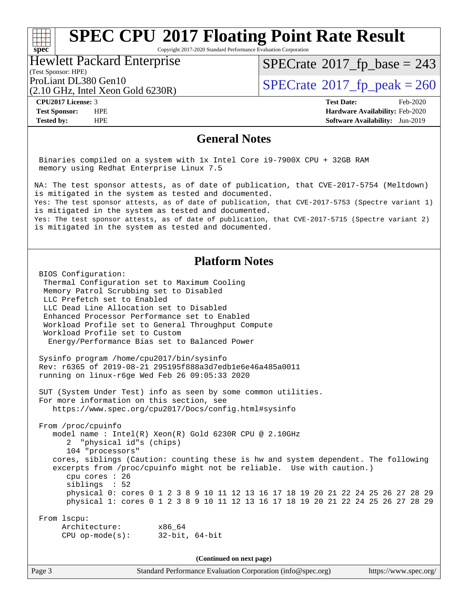Copyright 2017-2020 Standard Performance Evaluation Corporation

#### Hewlett Packard Enterprise

## $SPECTate$ <sup>®</sup>[2017\\_fp\\_base =](http://www.spec.org/auto/cpu2017/Docs/result-fields.html#SPECrate2017fpbase) 243

(Test Sponsor: HPE)

(2.10 GHz, Intel Xeon Gold 6230R)

ProLiant DL380 Gen10<br>  $(2.10 \text{ GHz} \text{ Intel } \text{Xeon Gold } 6230\text{R})$   $\text{SPECrate} \textcircled{2017\_fp\_peak} = 260$  $\text{SPECrate} \textcircled{2017\_fp\_peak} = 260$  $\text{SPECrate} \textcircled{2017\_fp\_peak} = 260$ 

**[spec](http://www.spec.org/)**<sup>®</sup>

**[CPU2017 License:](http://www.spec.org/auto/cpu2017/Docs/result-fields.html#CPU2017License)** 3 **[Test Date:](http://www.spec.org/auto/cpu2017/Docs/result-fields.html#TestDate)** Feb-2020 **[Test Sponsor:](http://www.spec.org/auto/cpu2017/Docs/result-fields.html#TestSponsor)** HPE **[Hardware Availability:](http://www.spec.org/auto/cpu2017/Docs/result-fields.html#HardwareAvailability)** Feb-2020 **[Tested by:](http://www.spec.org/auto/cpu2017/Docs/result-fields.html#Testedby)** HPE **[Software Availability:](http://www.spec.org/auto/cpu2017/Docs/result-fields.html#SoftwareAvailability)** Jun-2019

#### **[General Notes](http://www.spec.org/auto/cpu2017/Docs/result-fields.html#GeneralNotes)**

 Binaries compiled on a system with 1x Intel Core i9-7900X CPU + 32GB RAM memory using Redhat Enterprise Linux 7.5

NA: The test sponsor attests, as of date of publication, that CVE-2017-5754 (Meltdown) is mitigated in the system as tested and documented. Yes: The test sponsor attests, as of date of publication, that CVE-2017-5753 (Spectre variant 1) is mitigated in the system as tested and documented. Yes: The test sponsor attests, as of date of publication, that CVE-2017-5715 (Spectre variant 2) is mitigated in the system as tested and documented.

#### **[Platform Notes](http://www.spec.org/auto/cpu2017/Docs/result-fields.html#PlatformNotes)**

 BIOS Configuration: Thermal Configuration set to Maximum Cooling Memory Patrol Scrubbing set to Disabled LLC Prefetch set to Enabled LLC Dead Line Allocation set to Disabled Enhanced Processor Performance set to Enabled Workload Profile set to General Throughput Compute Workload Profile set to Custom Energy/Performance Bias set to Balanced Power

 Sysinfo program /home/cpu2017/bin/sysinfo Rev: r6365 of 2019-08-21 295195f888a3d7edb1e6e46a485a0011 running on linux-r6ge Wed Feb 26 09:05:33 2020

 SUT (System Under Test) info as seen by some common utilities. For more information on this section, see <https://www.spec.org/cpu2017/Docs/config.html#sysinfo>

 From /proc/cpuinfo model name : Intel(R) Xeon(R) Gold 6230R CPU @ 2.10GHz 2 "physical id"s (chips) 104 "processors" cores, siblings (Caution: counting these is hw and system dependent. The following excerpts from /proc/cpuinfo might not be reliable. Use with caution.) cpu cores : 26 siblings : 52 physical 0: cores 0 1 2 3 8 9 10 11 12 13 16 17 18 19 20 21 22 24 25 26 27 28 29 physical 1: cores 0 1 2 3 8 9 10 11 12 13 16 17 18 19 20 21 22 24 25 26 27 28 29 From lscpu:

 Architecture: x86\_64 CPU op-mode(s): 32-bit, 64-bit

**(Continued on next page)**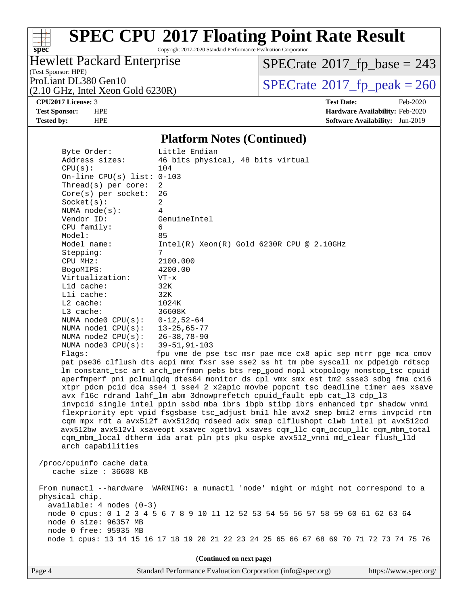#### a tim **[spec](http://www.spec.org/)**

# **[SPEC CPU](http://www.spec.org/auto/cpu2017/Docs/result-fields.html#SPECCPU2017FloatingPointRateResult)[2017 Floating Point Rate Result](http://www.spec.org/auto/cpu2017/Docs/result-fields.html#SPECCPU2017FloatingPointRateResult)**

Copyright 2017-2020 Standard Performance Evaluation Corporation

#### Hewlett Packard Enterprise

(Test Sponsor: HPE)

 $SPECTate$ <sup>®</sup>[2017\\_fp\\_base =](http://www.spec.org/auto/cpu2017/Docs/result-fields.html#SPECrate2017fpbase) 243

(2.10 GHz, Intel Xeon Gold 6230R)

ProLiant DL380 Gen10<br>(2.10 GHz, Intel Xeon Gold 6230R)  $\text{SPECrate}$  $\text{SPECrate}$  $\text{SPECrate}$ <sup>®</sup>[2017\\_fp\\_peak = 2](http://www.spec.org/auto/cpu2017/Docs/result-fields.html#SPECrate2017fppeak)60

**[CPU2017 License:](http://www.spec.org/auto/cpu2017/Docs/result-fields.html#CPU2017License)** 3 **[Test Date:](http://www.spec.org/auto/cpu2017/Docs/result-fields.html#TestDate)** Feb-2020 **[Test Sponsor:](http://www.spec.org/auto/cpu2017/Docs/result-fields.html#TestSponsor)** HPE **[Hardware Availability:](http://www.spec.org/auto/cpu2017/Docs/result-fields.html#HardwareAvailability)** Feb-2020 **[Tested by:](http://www.spec.org/auto/cpu2017/Docs/result-fields.html#Testedby)** HPE **[Software Availability:](http://www.spec.org/auto/cpu2017/Docs/result-fields.html#SoftwareAvailability)** Jun-2019

#### **[Platform Notes \(Continued\)](http://www.spec.org/auto/cpu2017/Docs/result-fields.html#PlatformNotes)**

 Byte Order: Little Endian Address sizes: 46 bits physical, 48 bits virtual CPU(s): 104 On-line CPU(s) list: 0-103 Thread(s) per core: 2 Core(s) per socket: 26  $Socket(s):$  NUMA node(s): 4 Vendor ID: GenuineIntel CPU family: 6 Model: 85 Model name: Intel(R) Xeon(R) Gold 6230R CPU @ 2.10GHz Stepping: CPU MHz: 2100.000 BogoMIPS: 4200.00 Virtualization: VT-x L1d cache: 32K L1i cache: 32K L2 cache: 1024K L3 cache: 36608K NUMA node0 CPU(s): 0-12,52-64 NUMA node1 CPU(s): 13-25,65-77 NUMA node2 CPU(s): 26-38,78-90 NUMA node3 CPU(s): 39-51,91-103 Flags: fpu vme de pse tsc msr pae mce cx8 apic sep mtrr pge mca cmov pat pse36 clflush dts acpi mmx fxsr sse sse2 ss ht tm pbe syscall nx pdpe1gb rdtscp lm constant\_tsc art arch\_perfmon pebs bts rep\_good nopl xtopology nonstop\_tsc cpuid aperfmperf pni pclmulqdq dtes64 monitor ds\_cpl vmx smx est tm2 ssse3 sdbg fma cx16 xtpr pdcm pcid dca sse4\_1 sse4\_2 x2apic movbe popcnt tsc\_deadline\_timer aes xsave avx f16c rdrand lahf\_lm abm 3dnowprefetch cpuid\_fault epb cat\_l3 cdp\_l3 invpcid\_single intel\_ppin ssbd mba ibrs ibpb stibp ibrs\_enhanced tpr\_shadow vnmi flexpriority ept vpid fsgsbase tsc\_adjust bmi1 hle avx2 smep bmi2 erms invpcid rtm cqm mpx rdt\_a avx512f avx512dq rdseed adx smap clflushopt clwb intel\_pt avx512cd avx512bw avx512vl xsaveopt xsavec xgetbv1 xsaves cqm\_llc cqm\_occup\_llc cqm\_mbm\_total cqm\_mbm\_local dtherm ida arat pln pts pku ospke avx512\_vnni md\_clear flush\_l1d arch\_capabilities /proc/cpuinfo cache data cache size : 36608 KB From numactl --hardware WARNING: a numactl 'node' might or might not correspond to a physical chip. available: 4 nodes (0-3)

 node 0 cpus: 0 1 2 3 4 5 6 7 8 9 10 11 12 52 53 54 55 56 57 58 59 60 61 62 63 64 node 0 size: 96357 MB node 0 free: 95935 MB node 1 cpus: 13 14 15 16 17 18 19 20 21 22 23 24 25 65 66 67 68 69 70 71 72 73 74 75 76

**(Continued on next page)**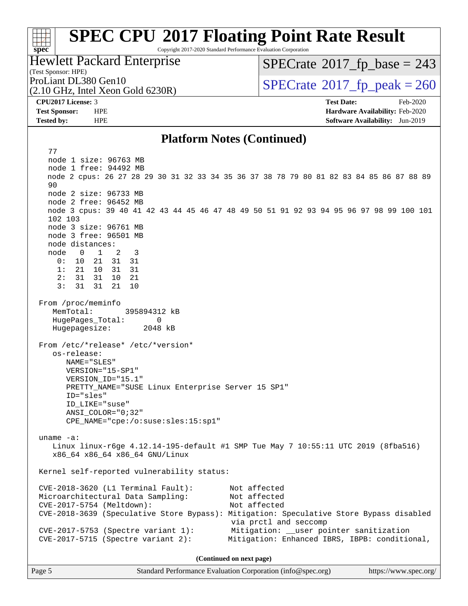#### $+\ +$ **[spec](http://www.spec.org/)**

# **[SPEC CPU](http://www.spec.org/auto/cpu2017/Docs/result-fields.html#SPECCPU2017FloatingPointRateResult)[2017 Floating Point Rate Result](http://www.spec.org/auto/cpu2017/Docs/result-fields.html#SPECCPU2017FloatingPointRateResult)**

Copyright 2017-2020 Standard Performance Evaluation Corporation

### Hewlett Packard Enterprise

(2.10 GHz, Intel Xeon Gold 6230R)

 $SPECTate$ <sup>®</sup>[2017\\_fp\\_base =](http://www.spec.org/auto/cpu2017/Docs/result-fields.html#SPECrate2017fpbase) 243

(Test Sponsor: HPE)

ProLiant DL380 Gen10<br>  $(2.10 \text{ GHz})$  Intel Xeon Gold 6230R)

**[CPU2017 License:](http://www.spec.org/auto/cpu2017/Docs/result-fields.html#CPU2017License)** 3 **[Test Date:](http://www.spec.org/auto/cpu2017/Docs/result-fields.html#TestDate)** Feb-2020 **[Test Sponsor:](http://www.spec.org/auto/cpu2017/Docs/result-fields.html#TestSponsor)** HPE **[Hardware Availability:](http://www.spec.org/auto/cpu2017/Docs/result-fields.html#HardwareAvailability)** Feb-2020 **[Tested by:](http://www.spec.org/auto/cpu2017/Docs/result-fields.html#Testedby)** HPE **[Software Availability:](http://www.spec.org/auto/cpu2017/Docs/result-fields.html#SoftwareAvailability)** Jun-2019

#### **[Platform Notes \(Continued\)](http://www.spec.org/auto/cpu2017/Docs/result-fields.html#PlatformNotes)**

 77 node 1 size: 96763 MB node 1 free: 94492 MB node 2 cpus: 26 27 28 29 30 31 32 33 34 35 36 37 38 78 79 80 81 82 83 84 85 86 87 88 89 90 node 2 size: 96733 MB node 2 free: 96452 MB node 3 cpus: 39 40 41 42 43 44 45 46 47 48 49 50 51 91 92 93 94 95 96 97 98 99 100 101 102 103 node 3 size: 96761 MB node 3 free: 96501 MB node distances: node 0 1 2 3 0: 10 21 31 31 1: 21 10 31 31 2: 31 31 10 21  $3: 31 31 21$  From /proc/meminfo MemTotal: 395894312 kB HugePages\_Total: 0 Hugepagesize: 2048 kB From /etc/\*release\* /etc/\*version\* os-release: NAME="SLES" VERSION="15-SP1" VERSION\_ID="15.1" PRETTY\_NAME="SUSE Linux Enterprise Server 15 SP1" ID="sles" ID\_LIKE="suse" ANSI\_COLOR="0;32" CPE\_NAME="cpe:/o:suse:sles:15:sp1" uname -a: Linux linux-r6ge 4.12.14-195-default #1 SMP Tue May 7 10:55:11 UTC 2019 (8fba516) x86\_64 x86\_64 x86\_64 GNU/Linux Kernel self-reported vulnerability status: CVE-2018-3620 (L1 Terminal Fault): Not affected Microarchitectural Data Sampling: Not affected CVE-2017-5754 (Meltdown): Not affected CVE-2018-3639 (Speculative Store Bypass): Mitigation: Speculative Store Bypass disabled via prctl and seccomp CVE-2017-5753 (Spectre variant 1): Mitigation: \_\_user pointer sanitization CVE-2017-5715 (Spectre variant 2): Mitigation: Enhanced IBRS, IBPB: conditional, **(Continued on next page)**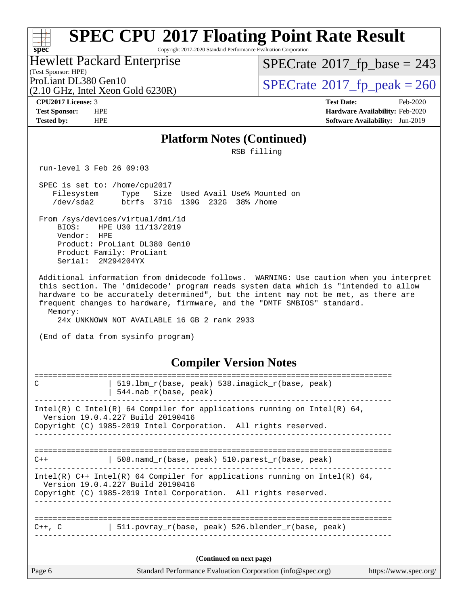Copyright 2017-2020 Standard Performance Evaluation Corporation

(Test Sponsor: HPE) Hewlett Packard Enterprise

 $SPECTate$ <sup>®</sup>[2017\\_fp\\_base =](http://www.spec.org/auto/cpu2017/Docs/result-fields.html#SPECrate2017fpbase) 243

(2.10 GHz, Intel Xeon Gold 6230R)

ProLiant DL380 Gen10<br>(2.10 GHz, Intel Xeon Gold 6230R)  $\text{SPECrate}$  $\text{SPECrate}$  $\text{SPECrate}$ <sup>®</sup>[2017\\_fp\\_peak = 2](http://www.spec.org/auto/cpu2017/Docs/result-fields.html#SPECrate2017fppeak)60

**[spec](http://www.spec.org/)**

a tim

**[CPU2017 License:](http://www.spec.org/auto/cpu2017/Docs/result-fields.html#CPU2017License)** 3 **[Test Date:](http://www.spec.org/auto/cpu2017/Docs/result-fields.html#TestDate)** Feb-2020 **[Test Sponsor:](http://www.spec.org/auto/cpu2017/Docs/result-fields.html#TestSponsor)** HPE **[Hardware Availability:](http://www.spec.org/auto/cpu2017/Docs/result-fields.html#HardwareAvailability)** Feb-2020 **[Tested by:](http://www.spec.org/auto/cpu2017/Docs/result-fields.html#Testedby)** HPE **[Software Availability:](http://www.spec.org/auto/cpu2017/Docs/result-fields.html#SoftwareAvailability)** Jun-2019

#### **[Platform Notes \(Continued\)](http://www.spec.org/auto/cpu2017/Docs/result-fields.html#PlatformNotes)**

RSB filling

run-level 3 Feb 26 09:03

 SPEC is set to: /home/cpu2017 Filesystem Type Size Used Avail Use% Mounted on /dev/sda2 btrfs 371G 139G 232G 38% /home

From /sys/devices/virtual/dmi/id<br>BIOS: HPE U30 11/13/2019 BIOS: HPE U30 11/13/2019 Vendor: HPE Product: ProLiant DL380 Gen10 Product Family: ProLiant Serial: 2M294204YX

 Additional information from dmidecode follows. WARNING: Use caution when you interpret this section. The 'dmidecode' program reads system data which is "intended to allow hardware to be accurately determined", but the intent may not be met, as there are frequent changes to hardware, firmware, and the "DMTF SMBIOS" standard. Memory:

24x UNKNOWN NOT AVAILABLE 16 GB 2 rank 2933

(End of data from sysinfo program)

#### **[Compiler Version Notes](http://www.spec.org/auto/cpu2017/Docs/result-fields.html#CompilerVersionNotes)**

| Page 6      | Standard Performance Evaluation Corporation (info@spec.org)                                                                                                                          | https://www.spec.org/ |
|-------------|--------------------------------------------------------------------------------------------------------------------------------------------------------------------------------------|-----------------------|
|             | (Continued on next page)                                                                                                                                                             |                       |
| $C++$ , $C$ | 511.povray_r(base, peak) 526.blender_r(base, peak)                                                                                                                                   |                       |
|             | Intel(R) $C++$ Intel(R) 64 Compiler for applications running on Intel(R) 64,<br>Version 19.0.4.227 Build 20190416<br>Copyright (C) 1985-2019 Intel Corporation. All rights reserved. |                       |
| $C++$       | 508. namd $r(base, peak)$ 510. parest $r(base, peak)$                                                                                                                                |                       |
|             | Intel(R) C Intel(R) 64 Compiler for applications running on Intel(R) 64,<br>Version 19.0.4.227 Build 20190416<br>Copyright (C) 1985-2019 Intel Corporation. All rights reserved.     |                       |
| C           | 519.1bm_r(base, peak) 538.imagick_r(base, peak)<br>$544.nab_r(base, peak)$                                                                                                           |                       |
|             |                                                                                                                                                                                      |                       |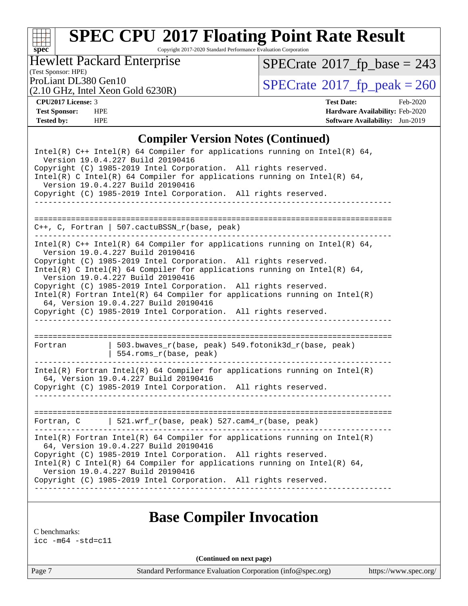

Copyright 2017-2020 Standard Performance Evaluation Corporation

Hewlett Packard Enterprise

 $SPECrate$ <sup>®</sup>[2017\\_fp\\_base =](http://www.spec.org/auto/cpu2017/Docs/result-fields.html#SPECrate2017fpbase) 243

## (Test Sponsor: HPE)

(2.10 GHz, Intel Xeon Gold 6230R)

ProLiant DL380 Gen10<br>  $(2.10 \text{ GHz} \cdot \text{Intel} \times \text{eon Gold } 6230\text{R})$  [SPECrate](http://www.spec.org/auto/cpu2017/Docs/result-fields.html#SPECrate2017fppeak)®[2017\\_fp\\_peak = 2](http://www.spec.org/auto/cpu2017/Docs/result-fields.html#SPECrate2017fppeak)60

**[CPU2017 License:](http://www.spec.org/auto/cpu2017/Docs/result-fields.html#CPU2017License)** 3 **[Test Date:](http://www.spec.org/auto/cpu2017/Docs/result-fields.html#TestDate)** Feb-2020 **[Test Sponsor:](http://www.spec.org/auto/cpu2017/Docs/result-fields.html#TestSponsor)** HPE **[Hardware Availability:](http://www.spec.org/auto/cpu2017/Docs/result-fields.html#HardwareAvailability)** Feb-2020 **[Tested by:](http://www.spec.org/auto/cpu2017/Docs/result-fields.html#Testedby)** HPE **[Software Availability:](http://www.spec.org/auto/cpu2017/Docs/result-fields.html#SoftwareAvailability)** Jun-2019

#### **[Compiler Version Notes \(Continued\)](http://www.spec.org/auto/cpu2017/Docs/result-fields.html#CompilerVersionNotes)**

| $Intel(R)$ C++ Intel(R) 64 Compiler for applications running on Intel(R) 64,<br>Version 19.0.4.227 Build 20190416<br>Copyright (C) 1985-2019 Intel Corporation. All rights reserved.<br>Intel(R) C Intel(R) 64 Compiler for applications running on Intel(R) 64,<br>Version 19.0.4.227 Build 20190416<br>Copyright (C) 1985-2019 Intel Corporation. All rights reserved.     |                                                                                                                                                                                                                                                                                                                                                                                                                                                                                                                                                                      |  |  |  |  |
|------------------------------------------------------------------------------------------------------------------------------------------------------------------------------------------------------------------------------------------------------------------------------------------------------------------------------------------------------------------------------|----------------------------------------------------------------------------------------------------------------------------------------------------------------------------------------------------------------------------------------------------------------------------------------------------------------------------------------------------------------------------------------------------------------------------------------------------------------------------------------------------------------------------------------------------------------------|--|--|--|--|
|                                                                                                                                                                                                                                                                                                                                                                              | C++, C, Fortran   507.cactuBSSN_r(base, peak)                                                                                                                                                                                                                                                                                                                                                                                                                                                                                                                        |  |  |  |  |
|                                                                                                                                                                                                                                                                                                                                                                              | Intel(R) $C++$ Intel(R) 64 Compiler for applications running on Intel(R) 64,<br>Version 19.0.4.227 Build 20190416<br>Copyright (C) 1985-2019 Intel Corporation. All rights reserved.<br>Intel(R) C Intel(R) 64 Compiler for applications running on Intel(R) 64,<br>Version 19.0.4.227 Build 20190416<br>Copyright (C) 1985-2019 Intel Corporation. All rights reserved.<br>$Intel(R)$ Fortran Intel(R) 64 Compiler for applications running on Intel(R)<br>64, Version 19.0.4.227 Build 20190416<br>Copyright (C) 1985-2019 Intel Corporation. All rights reserved. |  |  |  |  |
| Fortran                                                                                                                                                                                                                                                                                                                                                                      | 503.bwaves_r(base, peak) 549.fotonik3d_r(base, peak)<br>  554.roms_r(base, peak)                                                                                                                                                                                                                                                                                                                                                                                                                                                                                     |  |  |  |  |
|                                                                                                                                                                                                                                                                                                                                                                              | $Intel(R)$ Fortran Intel(R) 64 Compiler for applications running on Intel(R)<br>64, Version 19.0.4.227 Build 20190416<br>Copyright (C) 1985-2019 Intel Corporation. All rights reserved.<br><u>Listelle Listelle Liste</u>                                                                                                                                                                                                                                                                                                                                           |  |  |  |  |
|                                                                                                                                                                                                                                                                                                                                                                              | Fortran, C $\vert$ 521.wrf_r(base, peak) 527.cam4_r(base, peak)                                                                                                                                                                                                                                                                                                                                                                                                                                                                                                      |  |  |  |  |
| $Intel(R)$ Fortran Intel(R) 64 Compiler for applications running on Intel(R)<br>64, Version 19.0.4.227 Build 20190416<br>Copyright (C) 1985-2019 Intel Corporation. All rights reserved.<br>Intel(R) C Intel(R) 64 Compiler for applications running on Intel(R) 64,<br>Version 19.0.4.227 Build 20190416<br>Copyright (C) 1985-2019 Intel Corporation. All rights reserved. |                                                                                                                                                                                                                                                                                                                                                                                                                                                                                                                                                                      |  |  |  |  |

### **[Base Compiler Invocation](http://www.spec.org/auto/cpu2017/Docs/result-fields.html#BaseCompilerInvocation)**

[C benchmarks:](http://www.spec.org/auto/cpu2017/Docs/result-fields.html#Cbenchmarks) [icc -m64 -std=c11](http://www.spec.org/cpu2017/results/res2020q1/cpu2017-20200302-21050.flags.html#user_CCbase_intel_icc_64bit_c11_33ee0cdaae7deeeab2a9725423ba97205ce30f63b9926c2519791662299b76a0318f32ddfffdc46587804de3178b4f9328c46fa7c2b0cd779d7a61945c91cd35)

**(Continued on next page)**

Page 7 Standard Performance Evaluation Corporation [\(info@spec.org\)](mailto:info@spec.org) <https://www.spec.org/>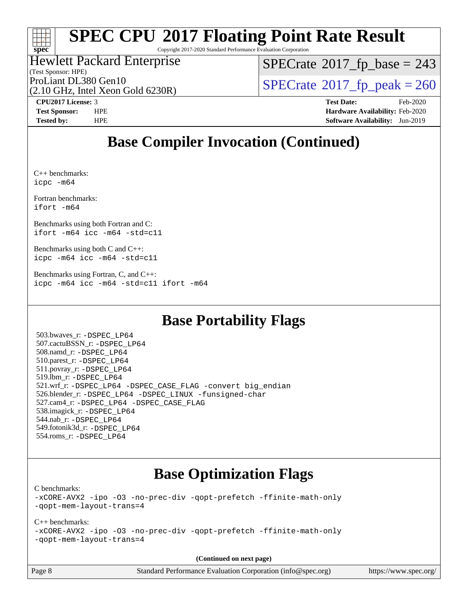

Copyright 2017-2020 Standard Performance Evaluation Corporation

### Hewlett Packard Enterprise

(Test Sponsor: HPE)

 $SPECTate$ <sup>®</sup>[2017\\_fp\\_base =](http://www.spec.org/auto/cpu2017/Docs/result-fields.html#SPECrate2017fpbase) 243

(2.10 GHz, Intel Xeon Gold 6230R)

ProLiant DL380 Gen10<br>(2.10 GHz, Intel Xeon Gold 6230R)  $\text{SPECrate}$  $\text{SPECrate}$  $\text{SPECrate}$ <sup>®</sup>[2017\\_fp\\_peak = 2](http://www.spec.org/auto/cpu2017/Docs/result-fields.html#SPECrate2017fppeak)60

**[CPU2017 License:](http://www.spec.org/auto/cpu2017/Docs/result-fields.html#CPU2017License)** 3 **[Test Date:](http://www.spec.org/auto/cpu2017/Docs/result-fields.html#TestDate)** Feb-2020 **[Test Sponsor:](http://www.spec.org/auto/cpu2017/Docs/result-fields.html#TestSponsor)** HPE **[Hardware Availability:](http://www.spec.org/auto/cpu2017/Docs/result-fields.html#HardwareAvailability)** Feb-2020 **[Tested by:](http://www.spec.org/auto/cpu2017/Docs/result-fields.html#Testedby)** HPE **[Software Availability:](http://www.spec.org/auto/cpu2017/Docs/result-fields.html#SoftwareAvailability)** Jun-2019

### **[Base Compiler Invocation \(Continued\)](http://www.spec.org/auto/cpu2017/Docs/result-fields.html#BaseCompilerInvocation)**

[C++ benchmarks](http://www.spec.org/auto/cpu2017/Docs/result-fields.html#CXXbenchmarks): [icpc -m64](http://www.spec.org/cpu2017/results/res2020q1/cpu2017-20200302-21050.flags.html#user_CXXbase_intel_icpc_64bit_4ecb2543ae3f1412ef961e0650ca070fec7b7afdcd6ed48761b84423119d1bf6bdf5cad15b44d48e7256388bc77273b966e5eb805aefd121eb22e9299b2ec9d9)

[Fortran benchmarks](http://www.spec.org/auto/cpu2017/Docs/result-fields.html#Fortranbenchmarks): [ifort -m64](http://www.spec.org/cpu2017/results/res2020q1/cpu2017-20200302-21050.flags.html#user_FCbase_intel_ifort_64bit_24f2bb282fbaeffd6157abe4f878425411749daecae9a33200eee2bee2fe76f3b89351d69a8130dd5949958ce389cf37ff59a95e7a40d588e8d3a57e0c3fd751)

[Benchmarks using both Fortran and C:](http://www.spec.org/auto/cpu2017/Docs/result-fields.html#BenchmarksusingbothFortranandC) [ifort -m64](http://www.spec.org/cpu2017/results/res2020q1/cpu2017-20200302-21050.flags.html#user_CC_FCbase_intel_ifort_64bit_24f2bb282fbaeffd6157abe4f878425411749daecae9a33200eee2bee2fe76f3b89351d69a8130dd5949958ce389cf37ff59a95e7a40d588e8d3a57e0c3fd751) [icc -m64 -std=c11](http://www.spec.org/cpu2017/results/res2020q1/cpu2017-20200302-21050.flags.html#user_CC_FCbase_intel_icc_64bit_c11_33ee0cdaae7deeeab2a9725423ba97205ce30f63b9926c2519791662299b76a0318f32ddfffdc46587804de3178b4f9328c46fa7c2b0cd779d7a61945c91cd35)

[Benchmarks using both C and C++](http://www.spec.org/auto/cpu2017/Docs/result-fields.html#BenchmarksusingbothCandCXX): [icpc -m64](http://www.spec.org/cpu2017/results/res2020q1/cpu2017-20200302-21050.flags.html#user_CC_CXXbase_intel_icpc_64bit_4ecb2543ae3f1412ef961e0650ca070fec7b7afdcd6ed48761b84423119d1bf6bdf5cad15b44d48e7256388bc77273b966e5eb805aefd121eb22e9299b2ec9d9) [icc -m64 -std=c11](http://www.spec.org/cpu2017/results/res2020q1/cpu2017-20200302-21050.flags.html#user_CC_CXXbase_intel_icc_64bit_c11_33ee0cdaae7deeeab2a9725423ba97205ce30f63b9926c2519791662299b76a0318f32ddfffdc46587804de3178b4f9328c46fa7c2b0cd779d7a61945c91cd35)

[Benchmarks using Fortran, C, and C++:](http://www.spec.org/auto/cpu2017/Docs/result-fields.html#BenchmarksusingFortranCandCXX) [icpc -m64](http://www.spec.org/cpu2017/results/res2020q1/cpu2017-20200302-21050.flags.html#user_CC_CXX_FCbase_intel_icpc_64bit_4ecb2543ae3f1412ef961e0650ca070fec7b7afdcd6ed48761b84423119d1bf6bdf5cad15b44d48e7256388bc77273b966e5eb805aefd121eb22e9299b2ec9d9) [icc -m64 -std=c11](http://www.spec.org/cpu2017/results/res2020q1/cpu2017-20200302-21050.flags.html#user_CC_CXX_FCbase_intel_icc_64bit_c11_33ee0cdaae7deeeab2a9725423ba97205ce30f63b9926c2519791662299b76a0318f32ddfffdc46587804de3178b4f9328c46fa7c2b0cd779d7a61945c91cd35) [ifort -m64](http://www.spec.org/cpu2017/results/res2020q1/cpu2017-20200302-21050.flags.html#user_CC_CXX_FCbase_intel_ifort_64bit_24f2bb282fbaeffd6157abe4f878425411749daecae9a33200eee2bee2fe76f3b89351d69a8130dd5949958ce389cf37ff59a95e7a40d588e8d3a57e0c3fd751)

### **[Base Portability Flags](http://www.spec.org/auto/cpu2017/Docs/result-fields.html#BasePortabilityFlags)**

 503.bwaves\_r: [-DSPEC\\_LP64](http://www.spec.org/cpu2017/results/res2020q1/cpu2017-20200302-21050.flags.html#suite_basePORTABILITY503_bwaves_r_DSPEC_LP64) 507.cactuBSSN\_r: [-DSPEC\\_LP64](http://www.spec.org/cpu2017/results/res2020q1/cpu2017-20200302-21050.flags.html#suite_basePORTABILITY507_cactuBSSN_r_DSPEC_LP64) 508.namd\_r: [-DSPEC\\_LP64](http://www.spec.org/cpu2017/results/res2020q1/cpu2017-20200302-21050.flags.html#suite_basePORTABILITY508_namd_r_DSPEC_LP64) 510.parest\_r: [-DSPEC\\_LP64](http://www.spec.org/cpu2017/results/res2020q1/cpu2017-20200302-21050.flags.html#suite_basePORTABILITY510_parest_r_DSPEC_LP64) 511.povray\_r: [-DSPEC\\_LP64](http://www.spec.org/cpu2017/results/res2020q1/cpu2017-20200302-21050.flags.html#suite_basePORTABILITY511_povray_r_DSPEC_LP64) 519.lbm\_r: [-DSPEC\\_LP64](http://www.spec.org/cpu2017/results/res2020q1/cpu2017-20200302-21050.flags.html#suite_basePORTABILITY519_lbm_r_DSPEC_LP64) 521.wrf\_r: [-DSPEC\\_LP64](http://www.spec.org/cpu2017/results/res2020q1/cpu2017-20200302-21050.flags.html#suite_basePORTABILITY521_wrf_r_DSPEC_LP64) [-DSPEC\\_CASE\\_FLAG](http://www.spec.org/cpu2017/results/res2020q1/cpu2017-20200302-21050.flags.html#b521.wrf_r_baseCPORTABILITY_DSPEC_CASE_FLAG) [-convert big\\_endian](http://www.spec.org/cpu2017/results/res2020q1/cpu2017-20200302-21050.flags.html#user_baseFPORTABILITY521_wrf_r_convert_big_endian_c3194028bc08c63ac5d04de18c48ce6d347e4e562e8892b8bdbdc0214820426deb8554edfa529a3fb25a586e65a3d812c835984020483e7e73212c4d31a38223) 526.blender\_r: [-DSPEC\\_LP64](http://www.spec.org/cpu2017/results/res2020q1/cpu2017-20200302-21050.flags.html#suite_basePORTABILITY526_blender_r_DSPEC_LP64) [-DSPEC\\_LINUX](http://www.spec.org/cpu2017/results/res2020q1/cpu2017-20200302-21050.flags.html#b526.blender_r_baseCPORTABILITY_DSPEC_LINUX) [-funsigned-char](http://www.spec.org/cpu2017/results/res2020q1/cpu2017-20200302-21050.flags.html#user_baseCPORTABILITY526_blender_r_force_uchar_40c60f00ab013830e2dd6774aeded3ff59883ba5a1fc5fc14077f794d777847726e2a5858cbc7672e36e1b067e7e5c1d9a74f7176df07886a243d7cc18edfe67) 527.cam4\_r: [-DSPEC\\_LP64](http://www.spec.org/cpu2017/results/res2020q1/cpu2017-20200302-21050.flags.html#suite_basePORTABILITY527_cam4_r_DSPEC_LP64) [-DSPEC\\_CASE\\_FLAG](http://www.spec.org/cpu2017/results/res2020q1/cpu2017-20200302-21050.flags.html#b527.cam4_r_baseCPORTABILITY_DSPEC_CASE_FLAG) 538.imagick\_r: [-DSPEC\\_LP64](http://www.spec.org/cpu2017/results/res2020q1/cpu2017-20200302-21050.flags.html#suite_basePORTABILITY538_imagick_r_DSPEC_LP64) 544.nab\_r: [-DSPEC\\_LP64](http://www.spec.org/cpu2017/results/res2020q1/cpu2017-20200302-21050.flags.html#suite_basePORTABILITY544_nab_r_DSPEC_LP64) 549.fotonik3d\_r: [-DSPEC\\_LP64](http://www.spec.org/cpu2017/results/res2020q1/cpu2017-20200302-21050.flags.html#suite_basePORTABILITY549_fotonik3d_r_DSPEC_LP64) 554.roms\_r: [-DSPEC\\_LP64](http://www.spec.org/cpu2017/results/res2020q1/cpu2017-20200302-21050.flags.html#suite_basePORTABILITY554_roms_r_DSPEC_LP64)

### **[Base Optimization Flags](http://www.spec.org/auto/cpu2017/Docs/result-fields.html#BaseOptimizationFlags)**

[C benchmarks](http://www.spec.org/auto/cpu2017/Docs/result-fields.html#Cbenchmarks):

[-xCORE-AVX2](http://www.spec.org/cpu2017/results/res2020q1/cpu2017-20200302-21050.flags.html#user_CCbase_f-xCORE-AVX2) [-ipo](http://www.spec.org/cpu2017/results/res2020q1/cpu2017-20200302-21050.flags.html#user_CCbase_f-ipo) [-O3](http://www.spec.org/cpu2017/results/res2020q1/cpu2017-20200302-21050.flags.html#user_CCbase_f-O3) [-no-prec-div](http://www.spec.org/cpu2017/results/res2020q1/cpu2017-20200302-21050.flags.html#user_CCbase_f-no-prec-div) [-qopt-prefetch](http://www.spec.org/cpu2017/results/res2020q1/cpu2017-20200302-21050.flags.html#user_CCbase_f-qopt-prefetch) [-ffinite-math-only](http://www.spec.org/cpu2017/results/res2020q1/cpu2017-20200302-21050.flags.html#user_CCbase_f_finite_math_only_cb91587bd2077682c4b38af759c288ed7c732db004271a9512da14a4f8007909a5f1427ecbf1a0fb78ff2a814402c6114ac565ca162485bbcae155b5e4258871) [-qopt-mem-layout-trans=4](http://www.spec.org/cpu2017/results/res2020q1/cpu2017-20200302-21050.flags.html#user_CCbase_f-qopt-mem-layout-trans_fa39e755916c150a61361b7846f310bcdf6f04e385ef281cadf3647acec3f0ae266d1a1d22d972a7087a248fd4e6ca390a3634700869573d231a252c784941a8)

[C++ benchmarks:](http://www.spec.org/auto/cpu2017/Docs/result-fields.html#CXXbenchmarks)

[-xCORE-AVX2](http://www.spec.org/cpu2017/results/res2020q1/cpu2017-20200302-21050.flags.html#user_CXXbase_f-xCORE-AVX2) [-ipo](http://www.spec.org/cpu2017/results/res2020q1/cpu2017-20200302-21050.flags.html#user_CXXbase_f-ipo) [-O3](http://www.spec.org/cpu2017/results/res2020q1/cpu2017-20200302-21050.flags.html#user_CXXbase_f-O3) [-no-prec-div](http://www.spec.org/cpu2017/results/res2020q1/cpu2017-20200302-21050.flags.html#user_CXXbase_f-no-prec-div) [-qopt-prefetch](http://www.spec.org/cpu2017/results/res2020q1/cpu2017-20200302-21050.flags.html#user_CXXbase_f-qopt-prefetch) [-ffinite-math-only](http://www.spec.org/cpu2017/results/res2020q1/cpu2017-20200302-21050.flags.html#user_CXXbase_f_finite_math_only_cb91587bd2077682c4b38af759c288ed7c732db004271a9512da14a4f8007909a5f1427ecbf1a0fb78ff2a814402c6114ac565ca162485bbcae155b5e4258871) [-qopt-mem-layout-trans=4](http://www.spec.org/cpu2017/results/res2020q1/cpu2017-20200302-21050.flags.html#user_CXXbase_f-qopt-mem-layout-trans_fa39e755916c150a61361b7846f310bcdf6f04e385ef281cadf3647acec3f0ae266d1a1d22d972a7087a248fd4e6ca390a3634700869573d231a252c784941a8)

**(Continued on next page)**

Page 8 Standard Performance Evaluation Corporation [\(info@spec.org\)](mailto:info@spec.org) <https://www.spec.org/>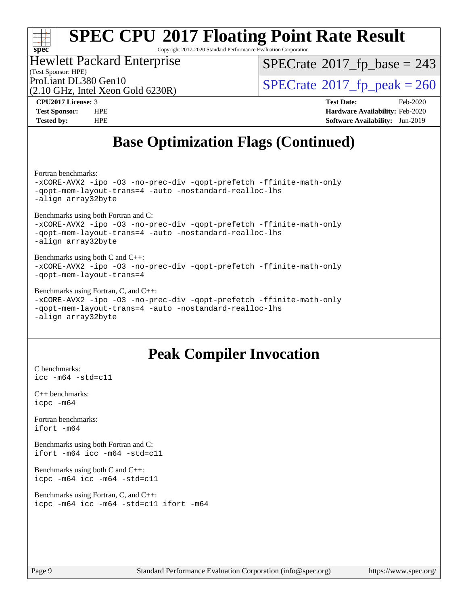#### H F **[spec](http://www.spec.org/)**

# **[SPEC CPU](http://www.spec.org/auto/cpu2017/Docs/result-fields.html#SPECCPU2017FloatingPointRateResult)[2017 Floating Point Rate Result](http://www.spec.org/auto/cpu2017/Docs/result-fields.html#SPECCPU2017FloatingPointRateResult)**

Copyright 2017-2020 Standard Performance Evaluation Corporation

### Hewlett Packard Enterprise

(Test Sponsor: HPE)

 $SPECTate$ <sup>®</sup>[2017\\_fp\\_base =](http://www.spec.org/auto/cpu2017/Docs/result-fields.html#SPECrate2017fpbase) 243

(2.10 GHz, Intel Xeon Gold 6230R)

ProLiant DL380 Gen10<br>(2.10 GHz, Intel Xeon Gold 6230R)  $\text{SPECrate}$  $\text{SPECrate}$  $\text{SPECrate}$ <sup>®</sup>[2017\\_fp\\_peak = 2](http://www.spec.org/auto/cpu2017/Docs/result-fields.html#SPECrate2017fppeak)60

**[CPU2017 License:](http://www.spec.org/auto/cpu2017/Docs/result-fields.html#CPU2017License)** 3 **[Test Date:](http://www.spec.org/auto/cpu2017/Docs/result-fields.html#TestDate)** Feb-2020 **[Test Sponsor:](http://www.spec.org/auto/cpu2017/Docs/result-fields.html#TestSponsor)** HPE **[Hardware Availability:](http://www.spec.org/auto/cpu2017/Docs/result-fields.html#HardwareAvailability)** Feb-2020 **[Tested by:](http://www.spec.org/auto/cpu2017/Docs/result-fields.html#Testedby)** HPE **[Software Availability:](http://www.spec.org/auto/cpu2017/Docs/result-fields.html#SoftwareAvailability)** Jun-2019

### **[Base Optimization Flags \(Continued\)](http://www.spec.org/auto/cpu2017/Docs/result-fields.html#BaseOptimizationFlags)**

[Fortran benchmarks](http://www.spec.org/auto/cpu2017/Docs/result-fields.html#Fortranbenchmarks):

[-xCORE-AVX2](http://www.spec.org/cpu2017/results/res2020q1/cpu2017-20200302-21050.flags.html#user_FCbase_f-xCORE-AVX2) [-ipo](http://www.spec.org/cpu2017/results/res2020q1/cpu2017-20200302-21050.flags.html#user_FCbase_f-ipo) [-O3](http://www.spec.org/cpu2017/results/res2020q1/cpu2017-20200302-21050.flags.html#user_FCbase_f-O3) [-no-prec-div](http://www.spec.org/cpu2017/results/res2020q1/cpu2017-20200302-21050.flags.html#user_FCbase_f-no-prec-div) [-qopt-prefetch](http://www.spec.org/cpu2017/results/res2020q1/cpu2017-20200302-21050.flags.html#user_FCbase_f-qopt-prefetch) [-ffinite-math-only](http://www.spec.org/cpu2017/results/res2020q1/cpu2017-20200302-21050.flags.html#user_FCbase_f_finite_math_only_cb91587bd2077682c4b38af759c288ed7c732db004271a9512da14a4f8007909a5f1427ecbf1a0fb78ff2a814402c6114ac565ca162485bbcae155b5e4258871) [-qopt-mem-layout-trans=4](http://www.spec.org/cpu2017/results/res2020q1/cpu2017-20200302-21050.flags.html#user_FCbase_f-qopt-mem-layout-trans_fa39e755916c150a61361b7846f310bcdf6f04e385ef281cadf3647acec3f0ae266d1a1d22d972a7087a248fd4e6ca390a3634700869573d231a252c784941a8) [-auto](http://www.spec.org/cpu2017/results/res2020q1/cpu2017-20200302-21050.flags.html#user_FCbase_f-auto) [-nostandard-realloc-lhs](http://www.spec.org/cpu2017/results/res2020q1/cpu2017-20200302-21050.flags.html#user_FCbase_f_2003_std_realloc_82b4557e90729c0f113870c07e44d33d6f5a304b4f63d4c15d2d0f1fab99f5daaed73bdb9275d9ae411527f28b936061aa8b9c8f2d63842963b95c9dd6426b8a) [-align array32byte](http://www.spec.org/cpu2017/results/res2020q1/cpu2017-20200302-21050.flags.html#user_FCbase_align_array32byte_b982fe038af199962ba9a80c053b8342c548c85b40b8e86eb3cc33dee0d7986a4af373ac2d51c3f7cf710a18d62fdce2948f201cd044323541f22fc0fffc51b6)

[Benchmarks using both Fortran and C](http://www.spec.org/auto/cpu2017/Docs/result-fields.html#BenchmarksusingbothFortranandC): [-xCORE-AVX2](http://www.spec.org/cpu2017/results/res2020q1/cpu2017-20200302-21050.flags.html#user_CC_FCbase_f-xCORE-AVX2) [-ipo](http://www.spec.org/cpu2017/results/res2020q1/cpu2017-20200302-21050.flags.html#user_CC_FCbase_f-ipo) [-O3](http://www.spec.org/cpu2017/results/res2020q1/cpu2017-20200302-21050.flags.html#user_CC_FCbase_f-O3) [-no-prec-div](http://www.spec.org/cpu2017/results/res2020q1/cpu2017-20200302-21050.flags.html#user_CC_FCbase_f-no-prec-div) [-qopt-prefetch](http://www.spec.org/cpu2017/results/res2020q1/cpu2017-20200302-21050.flags.html#user_CC_FCbase_f-qopt-prefetch) [-ffinite-math-only](http://www.spec.org/cpu2017/results/res2020q1/cpu2017-20200302-21050.flags.html#user_CC_FCbase_f_finite_math_only_cb91587bd2077682c4b38af759c288ed7c732db004271a9512da14a4f8007909a5f1427ecbf1a0fb78ff2a814402c6114ac565ca162485bbcae155b5e4258871) [-qopt-mem-layout-trans=4](http://www.spec.org/cpu2017/results/res2020q1/cpu2017-20200302-21050.flags.html#user_CC_FCbase_f-qopt-mem-layout-trans_fa39e755916c150a61361b7846f310bcdf6f04e385ef281cadf3647acec3f0ae266d1a1d22d972a7087a248fd4e6ca390a3634700869573d231a252c784941a8) [-auto](http://www.spec.org/cpu2017/results/res2020q1/cpu2017-20200302-21050.flags.html#user_CC_FCbase_f-auto) [-nostandard-realloc-lhs](http://www.spec.org/cpu2017/results/res2020q1/cpu2017-20200302-21050.flags.html#user_CC_FCbase_f_2003_std_realloc_82b4557e90729c0f113870c07e44d33d6f5a304b4f63d4c15d2d0f1fab99f5daaed73bdb9275d9ae411527f28b936061aa8b9c8f2d63842963b95c9dd6426b8a)

[-align array32byte](http://www.spec.org/cpu2017/results/res2020q1/cpu2017-20200302-21050.flags.html#user_CC_FCbase_align_array32byte_b982fe038af199962ba9a80c053b8342c548c85b40b8e86eb3cc33dee0d7986a4af373ac2d51c3f7cf710a18d62fdce2948f201cd044323541f22fc0fffc51b6)

#### [Benchmarks using both C and C++](http://www.spec.org/auto/cpu2017/Docs/result-fields.html#BenchmarksusingbothCandCXX): [-xCORE-AVX2](http://www.spec.org/cpu2017/results/res2020q1/cpu2017-20200302-21050.flags.html#user_CC_CXXbase_f-xCORE-AVX2) [-ipo](http://www.spec.org/cpu2017/results/res2020q1/cpu2017-20200302-21050.flags.html#user_CC_CXXbase_f-ipo) [-O3](http://www.spec.org/cpu2017/results/res2020q1/cpu2017-20200302-21050.flags.html#user_CC_CXXbase_f-O3) [-no-prec-div](http://www.spec.org/cpu2017/results/res2020q1/cpu2017-20200302-21050.flags.html#user_CC_CXXbase_f-no-prec-div) [-qopt-prefetch](http://www.spec.org/cpu2017/results/res2020q1/cpu2017-20200302-21050.flags.html#user_CC_CXXbase_f-qopt-prefetch) [-ffinite-math-only](http://www.spec.org/cpu2017/results/res2020q1/cpu2017-20200302-21050.flags.html#user_CC_CXXbase_f_finite_math_only_cb91587bd2077682c4b38af759c288ed7c732db004271a9512da14a4f8007909a5f1427ecbf1a0fb78ff2a814402c6114ac565ca162485bbcae155b5e4258871) [-qopt-mem-layout-trans=4](http://www.spec.org/cpu2017/results/res2020q1/cpu2017-20200302-21050.flags.html#user_CC_CXXbase_f-qopt-mem-layout-trans_fa39e755916c150a61361b7846f310bcdf6f04e385ef281cadf3647acec3f0ae266d1a1d22d972a7087a248fd4e6ca390a3634700869573d231a252c784941a8)

#### [Benchmarks using Fortran, C, and C++:](http://www.spec.org/auto/cpu2017/Docs/result-fields.html#BenchmarksusingFortranCandCXX)

[-xCORE-AVX2](http://www.spec.org/cpu2017/results/res2020q1/cpu2017-20200302-21050.flags.html#user_CC_CXX_FCbase_f-xCORE-AVX2) [-ipo](http://www.spec.org/cpu2017/results/res2020q1/cpu2017-20200302-21050.flags.html#user_CC_CXX_FCbase_f-ipo) [-O3](http://www.spec.org/cpu2017/results/res2020q1/cpu2017-20200302-21050.flags.html#user_CC_CXX_FCbase_f-O3) [-no-prec-div](http://www.spec.org/cpu2017/results/res2020q1/cpu2017-20200302-21050.flags.html#user_CC_CXX_FCbase_f-no-prec-div) [-qopt-prefetch](http://www.spec.org/cpu2017/results/res2020q1/cpu2017-20200302-21050.flags.html#user_CC_CXX_FCbase_f-qopt-prefetch) [-ffinite-math-only](http://www.spec.org/cpu2017/results/res2020q1/cpu2017-20200302-21050.flags.html#user_CC_CXX_FCbase_f_finite_math_only_cb91587bd2077682c4b38af759c288ed7c732db004271a9512da14a4f8007909a5f1427ecbf1a0fb78ff2a814402c6114ac565ca162485bbcae155b5e4258871) [-qopt-mem-layout-trans=4](http://www.spec.org/cpu2017/results/res2020q1/cpu2017-20200302-21050.flags.html#user_CC_CXX_FCbase_f-qopt-mem-layout-trans_fa39e755916c150a61361b7846f310bcdf6f04e385ef281cadf3647acec3f0ae266d1a1d22d972a7087a248fd4e6ca390a3634700869573d231a252c784941a8) [-auto](http://www.spec.org/cpu2017/results/res2020q1/cpu2017-20200302-21050.flags.html#user_CC_CXX_FCbase_f-auto) [-nostandard-realloc-lhs](http://www.spec.org/cpu2017/results/res2020q1/cpu2017-20200302-21050.flags.html#user_CC_CXX_FCbase_f_2003_std_realloc_82b4557e90729c0f113870c07e44d33d6f5a304b4f63d4c15d2d0f1fab99f5daaed73bdb9275d9ae411527f28b936061aa8b9c8f2d63842963b95c9dd6426b8a) [-align array32byte](http://www.spec.org/cpu2017/results/res2020q1/cpu2017-20200302-21050.flags.html#user_CC_CXX_FCbase_align_array32byte_b982fe038af199962ba9a80c053b8342c548c85b40b8e86eb3cc33dee0d7986a4af373ac2d51c3f7cf710a18d62fdce2948f201cd044323541f22fc0fffc51b6)

### **[Peak Compiler Invocation](http://www.spec.org/auto/cpu2017/Docs/result-fields.html#PeakCompilerInvocation)**

[C benchmarks](http://www.spec.org/auto/cpu2017/Docs/result-fields.html#Cbenchmarks): [icc -m64 -std=c11](http://www.spec.org/cpu2017/results/res2020q1/cpu2017-20200302-21050.flags.html#user_CCpeak_intel_icc_64bit_c11_33ee0cdaae7deeeab2a9725423ba97205ce30f63b9926c2519791662299b76a0318f32ddfffdc46587804de3178b4f9328c46fa7c2b0cd779d7a61945c91cd35)

[C++ benchmarks:](http://www.spec.org/auto/cpu2017/Docs/result-fields.html#CXXbenchmarks) [icpc -m64](http://www.spec.org/cpu2017/results/res2020q1/cpu2017-20200302-21050.flags.html#user_CXXpeak_intel_icpc_64bit_4ecb2543ae3f1412ef961e0650ca070fec7b7afdcd6ed48761b84423119d1bf6bdf5cad15b44d48e7256388bc77273b966e5eb805aefd121eb22e9299b2ec9d9)

[Fortran benchmarks](http://www.spec.org/auto/cpu2017/Docs/result-fields.html#Fortranbenchmarks): [ifort -m64](http://www.spec.org/cpu2017/results/res2020q1/cpu2017-20200302-21050.flags.html#user_FCpeak_intel_ifort_64bit_24f2bb282fbaeffd6157abe4f878425411749daecae9a33200eee2bee2fe76f3b89351d69a8130dd5949958ce389cf37ff59a95e7a40d588e8d3a57e0c3fd751)

[Benchmarks using both Fortran and C](http://www.spec.org/auto/cpu2017/Docs/result-fields.html#BenchmarksusingbothFortranandC): [ifort -m64](http://www.spec.org/cpu2017/results/res2020q1/cpu2017-20200302-21050.flags.html#user_CC_FCpeak_intel_ifort_64bit_24f2bb282fbaeffd6157abe4f878425411749daecae9a33200eee2bee2fe76f3b89351d69a8130dd5949958ce389cf37ff59a95e7a40d588e8d3a57e0c3fd751) [icc -m64 -std=c11](http://www.spec.org/cpu2017/results/res2020q1/cpu2017-20200302-21050.flags.html#user_CC_FCpeak_intel_icc_64bit_c11_33ee0cdaae7deeeab2a9725423ba97205ce30f63b9926c2519791662299b76a0318f32ddfffdc46587804de3178b4f9328c46fa7c2b0cd779d7a61945c91cd35)

[Benchmarks using both C and C++](http://www.spec.org/auto/cpu2017/Docs/result-fields.html#BenchmarksusingbothCandCXX): [icpc -m64](http://www.spec.org/cpu2017/results/res2020q1/cpu2017-20200302-21050.flags.html#user_CC_CXXpeak_intel_icpc_64bit_4ecb2543ae3f1412ef961e0650ca070fec7b7afdcd6ed48761b84423119d1bf6bdf5cad15b44d48e7256388bc77273b966e5eb805aefd121eb22e9299b2ec9d9) [icc -m64 -std=c11](http://www.spec.org/cpu2017/results/res2020q1/cpu2017-20200302-21050.flags.html#user_CC_CXXpeak_intel_icc_64bit_c11_33ee0cdaae7deeeab2a9725423ba97205ce30f63b9926c2519791662299b76a0318f32ddfffdc46587804de3178b4f9328c46fa7c2b0cd779d7a61945c91cd35)

[Benchmarks using Fortran, C, and C++:](http://www.spec.org/auto/cpu2017/Docs/result-fields.html#BenchmarksusingFortranCandCXX) [icpc -m64](http://www.spec.org/cpu2017/results/res2020q1/cpu2017-20200302-21050.flags.html#user_CC_CXX_FCpeak_intel_icpc_64bit_4ecb2543ae3f1412ef961e0650ca070fec7b7afdcd6ed48761b84423119d1bf6bdf5cad15b44d48e7256388bc77273b966e5eb805aefd121eb22e9299b2ec9d9) [icc -m64 -std=c11](http://www.spec.org/cpu2017/results/res2020q1/cpu2017-20200302-21050.flags.html#user_CC_CXX_FCpeak_intel_icc_64bit_c11_33ee0cdaae7deeeab2a9725423ba97205ce30f63b9926c2519791662299b76a0318f32ddfffdc46587804de3178b4f9328c46fa7c2b0cd779d7a61945c91cd35) [ifort -m64](http://www.spec.org/cpu2017/results/res2020q1/cpu2017-20200302-21050.flags.html#user_CC_CXX_FCpeak_intel_ifort_64bit_24f2bb282fbaeffd6157abe4f878425411749daecae9a33200eee2bee2fe76f3b89351d69a8130dd5949958ce389cf37ff59a95e7a40d588e8d3a57e0c3fd751)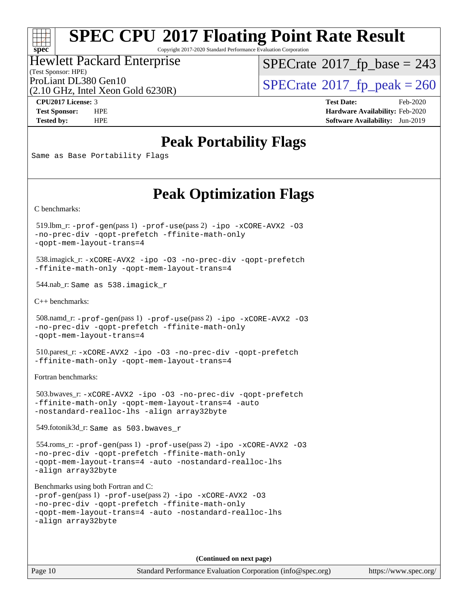#### $\pm\pm\tau$ **[spec](http://www.spec.org/)**

# **[SPEC CPU](http://www.spec.org/auto/cpu2017/Docs/result-fields.html#SPECCPU2017FloatingPointRateResult)[2017 Floating Point Rate Result](http://www.spec.org/auto/cpu2017/Docs/result-fields.html#SPECCPU2017FloatingPointRateResult)**

Copyright 2017-2020 Standard Performance Evaluation Corporation

#### Hewlett Packard Enterprise

(Test Sponsor: HPE)

 $SPECTate$ <sup>®</sup>[2017\\_fp\\_base =](http://www.spec.org/auto/cpu2017/Docs/result-fields.html#SPECrate2017fpbase) 243

(2.10 GHz, Intel Xeon Gold 6230R)

ProLiant DL380 Gen10<br>(2.10 GHz, Intel Xeon Gold 6230R)  $\text{SPECrate}$  $\text{SPECrate}$  $\text{SPECrate}$ <sup>®</sup>[2017\\_fp\\_peak = 2](http://www.spec.org/auto/cpu2017/Docs/result-fields.html#SPECrate2017fppeak)60

**[CPU2017 License:](http://www.spec.org/auto/cpu2017/Docs/result-fields.html#CPU2017License)** 3 **[Test Date:](http://www.spec.org/auto/cpu2017/Docs/result-fields.html#TestDate)** Feb-2020 **[Test Sponsor:](http://www.spec.org/auto/cpu2017/Docs/result-fields.html#TestSponsor)** HPE **[Hardware Availability:](http://www.spec.org/auto/cpu2017/Docs/result-fields.html#HardwareAvailability)** Feb-2020 **[Tested by:](http://www.spec.org/auto/cpu2017/Docs/result-fields.html#Testedby)** HPE **[Software Availability:](http://www.spec.org/auto/cpu2017/Docs/result-fields.html#SoftwareAvailability)** Jun-2019

### **[Peak Portability Flags](http://www.spec.org/auto/cpu2017/Docs/result-fields.html#PeakPortabilityFlags)**

Same as Base Portability Flags

### **[Peak Optimization Flags](http://www.spec.org/auto/cpu2017/Docs/result-fields.html#PeakOptimizationFlags)**

[C benchmarks](http://www.spec.org/auto/cpu2017/Docs/result-fields.html#Cbenchmarks):

 519.lbm\_r: [-prof-gen](http://www.spec.org/cpu2017/results/res2020q1/cpu2017-20200302-21050.flags.html#user_peakPASS1_CFLAGSPASS1_LDFLAGS519_lbm_r_prof_gen_5aa4926d6013ddb2a31985c654b3eb18169fc0c6952a63635c234f711e6e63dd76e94ad52365559451ec499a2cdb89e4dc58ba4c67ef54ca681ffbe1461d6b36)(pass 1) [-prof-use](http://www.spec.org/cpu2017/results/res2020q1/cpu2017-20200302-21050.flags.html#user_peakPASS2_CFLAGSPASS2_LDFLAGS519_lbm_r_prof_use_1a21ceae95f36a2b53c25747139a6c16ca95bd9def2a207b4f0849963b97e94f5260e30a0c64f4bb623698870e679ca08317ef8150905d41bd88c6f78df73f19)(pass 2) [-ipo](http://www.spec.org/cpu2017/results/res2020q1/cpu2017-20200302-21050.flags.html#user_peakPASS1_COPTIMIZEPASS2_COPTIMIZE519_lbm_r_f-ipo) [-xCORE-AVX2](http://www.spec.org/cpu2017/results/res2020q1/cpu2017-20200302-21050.flags.html#user_peakPASS2_COPTIMIZE519_lbm_r_f-xCORE-AVX2) [-O3](http://www.spec.org/cpu2017/results/res2020q1/cpu2017-20200302-21050.flags.html#user_peakPASS1_COPTIMIZEPASS2_COPTIMIZE519_lbm_r_f-O3) [-no-prec-div](http://www.spec.org/cpu2017/results/res2020q1/cpu2017-20200302-21050.flags.html#user_peakPASS1_COPTIMIZEPASS2_COPTIMIZE519_lbm_r_f-no-prec-div) [-qopt-prefetch](http://www.spec.org/cpu2017/results/res2020q1/cpu2017-20200302-21050.flags.html#user_peakPASS1_COPTIMIZEPASS2_COPTIMIZE519_lbm_r_f-qopt-prefetch) [-ffinite-math-only](http://www.spec.org/cpu2017/results/res2020q1/cpu2017-20200302-21050.flags.html#user_peakPASS1_COPTIMIZEPASS2_COPTIMIZE519_lbm_r_f_finite_math_only_cb91587bd2077682c4b38af759c288ed7c732db004271a9512da14a4f8007909a5f1427ecbf1a0fb78ff2a814402c6114ac565ca162485bbcae155b5e4258871) [-qopt-mem-layout-trans=4](http://www.spec.org/cpu2017/results/res2020q1/cpu2017-20200302-21050.flags.html#user_peakPASS1_COPTIMIZEPASS2_COPTIMIZE519_lbm_r_f-qopt-mem-layout-trans_fa39e755916c150a61361b7846f310bcdf6f04e385ef281cadf3647acec3f0ae266d1a1d22d972a7087a248fd4e6ca390a3634700869573d231a252c784941a8)

 538.imagick\_r: [-xCORE-AVX2](http://www.spec.org/cpu2017/results/res2020q1/cpu2017-20200302-21050.flags.html#user_peakCOPTIMIZE538_imagick_r_f-xCORE-AVX2) [-ipo](http://www.spec.org/cpu2017/results/res2020q1/cpu2017-20200302-21050.flags.html#user_peakCOPTIMIZE538_imagick_r_f-ipo) [-O3](http://www.spec.org/cpu2017/results/res2020q1/cpu2017-20200302-21050.flags.html#user_peakCOPTIMIZE538_imagick_r_f-O3) [-no-prec-div](http://www.spec.org/cpu2017/results/res2020q1/cpu2017-20200302-21050.flags.html#user_peakCOPTIMIZE538_imagick_r_f-no-prec-div) [-qopt-prefetch](http://www.spec.org/cpu2017/results/res2020q1/cpu2017-20200302-21050.flags.html#user_peakCOPTIMIZE538_imagick_r_f-qopt-prefetch) [-ffinite-math-only](http://www.spec.org/cpu2017/results/res2020q1/cpu2017-20200302-21050.flags.html#user_peakCOPTIMIZE538_imagick_r_f_finite_math_only_cb91587bd2077682c4b38af759c288ed7c732db004271a9512da14a4f8007909a5f1427ecbf1a0fb78ff2a814402c6114ac565ca162485bbcae155b5e4258871) [-qopt-mem-layout-trans=4](http://www.spec.org/cpu2017/results/res2020q1/cpu2017-20200302-21050.flags.html#user_peakCOPTIMIZE538_imagick_r_f-qopt-mem-layout-trans_fa39e755916c150a61361b7846f310bcdf6f04e385ef281cadf3647acec3f0ae266d1a1d22d972a7087a248fd4e6ca390a3634700869573d231a252c784941a8)

544.nab\_r: Same as 538.imagick\_r

[C++ benchmarks:](http://www.spec.org/auto/cpu2017/Docs/result-fields.html#CXXbenchmarks)

```
 508.namd_r: -prof-gen(pass 1) -prof-use(pass 2) -ipo -xCORE-AVX2 -O3
-no-prec-div -qopt-prefetch -ffinite-math-only
-qopt-mem-layout-trans=4
```
 510.parest\_r: [-xCORE-AVX2](http://www.spec.org/cpu2017/results/res2020q1/cpu2017-20200302-21050.flags.html#user_peakCXXOPTIMIZE510_parest_r_f-xCORE-AVX2) [-ipo](http://www.spec.org/cpu2017/results/res2020q1/cpu2017-20200302-21050.flags.html#user_peakCXXOPTIMIZE510_parest_r_f-ipo) [-O3](http://www.spec.org/cpu2017/results/res2020q1/cpu2017-20200302-21050.flags.html#user_peakCXXOPTIMIZE510_parest_r_f-O3) [-no-prec-div](http://www.spec.org/cpu2017/results/res2020q1/cpu2017-20200302-21050.flags.html#user_peakCXXOPTIMIZE510_parest_r_f-no-prec-div) [-qopt-prefetch](http://www.spec.org/cpu2017/results/res2020q1/cpu2017-20200302-21050.flags.html#user_peakCXXOPTIMIZE510_parest_r_f-qopt-prefetch) [-ffinite-math-only](http://www.spec.org/cpu2017/results/res2020q1/cpu2017-20200302-21050.flags.html#user_peakCXXOPTIMIZE510_parest_r_f_finite_math_only_cb91587bd2077682c4b38af759c288ed7c732db004271a9512da14a4f8007909a5f1427ecbf1a0fb78ff2a814402c6114ac565ca162485bbcae155b5e4258871) [-qopt-mem-layout-trans=4](http://www.spec.org/cpu2017/results/res2020q1/cpu2017-20200302-21050.flags.html#user_peakCXXOPTIMIZE510_parest_r_f-qopt-mem-layout-trans_fa39e755916c150a61361b7846f310bcdf6f04e385ef281cadf3647acec3f0ae266d1a1d22d972a7087a248fd4e6ca390a3634700869573d231a252c784941a8)

[Fortran benchmarks](http://www.spec.org/auto/cpu2017/Docs/result-fields.html#Fortranbenchmarks):

 503.bwaves\_r: [-xCORE-AVX2](http://www.spec.org/cpu2017/results/res2020q1/cpu2017-20200302-21050.flags.html#user_peakFOPTIMIZE503_bwaves_r_f-xCORE-AVX2) [-ipo](http://www.spec.org/cpu2017/results/res2020q1/cpu2017-20200302-21050.flags.html#user_peakFOPTIMIZE503_bwaves_r_f-ipo) [-O3](http://www.spec.org/cpu2017/results/res2020q1/cpu2017-20200302-21050.flags.html#user_peakFOPTIMIZE503_bwaves_r_f-O3) [-no-prec-div](http://www.spec.org/cpu2017/results/res2020q1/cpu2017-20200302-21050.flags.html#user_peakFOPTIMIZE503_bwaves_r_f-no-prec-div) [-qopt-prefetch](http://www.spec.org/cpu2017/results/res2020q1/cpu2017-20200302-21050.flags.html#user_peakFOPTIMIZE503_bwaves_r_f-qopt-prefetch) [-ffinite-math-only](http://www.spec.org/cpu2017/results/res2020q1/cpu2017-20200302-21050.flags.html#user_peakFOPTIMIZE503_bwaves_r_f_finite_math_only_cb91587bd2077682c4b38af759c288ed7c732db004271a9512da14a4f8007909a5f1427ecbf1a0fb78ff2a814402c6114ac565ca162485bbcae155b5e4258871) [-qopt-mem-layout-trans=4](http://www.spec.org/cpu2017/results/res2020q1/cpu2017-20200302-21050.flags.html#user_peakFOPTIMIZE503_bwaves_r_f-qopt-mem-layout-trans_fa39e755916c150a61361b7846f310bcdf6f04e385ef281cadf3647acec3f0ae266d1a1d22d972a7087a248fd4e6ca390a3634700869573d231a252c784941a8) [-auto](http://www.spec.org/cpu2017/results/res2020q1/cpu2017-20200302-21050.flags.html#user_peakFOPTIMIZE503_bwaves_r_f-auto) [-nostandard-realloc-lhs](http://www.spec.org/cpu2017/results/res2020q1/cpu2017-20200302-21050.flags.html#user_peakEXTRA_FOPTIMIZE503_bwaves_r_f_2003_std_realloc_82b4557e90729c0f113870c07e44d33d6f5a304b4f63d4c15d2d0f1fab99f5daaed73bdb9275d9ae411527f28b936061aa8b9c8f2d63842963b95c9dd6426b8a) [-align array32byte](http://www.spec.org/cpu2017/results/res2020q1/cpu2017-20200302-21050.flags.html#user_peakEXTRA_FOPTIMIZE503_bwaves_r_align_array32byte_b982fe038af199962ba9a80c053b8342c548c85b40b8e86eb3cc33dee0d7986a4af373ac2d51c3f7cf710a18d62fdce2948f201cd044323541f22fc0fffc51b6)

549.fotonik3d\_r: Same as 503.bwaves\_r

 554.roms\_r: [-prof-gen](http://www.spec.org/cpu2017/results/res2020q1/cpu2017-20200302-21050.flags.html#user_peakPASS1_FFLAGSPASS1_LDFLAGS554_roms_r_prof_gen_5aa4926d6013ddb2a31985c654b3eb18169fc0c6952a63635c234f711e6e63dd76e94ad52365559451ec499a2cdb89e4dc58ba4c67ef54ca681ffbe1461d6b36)(pass 1) [-prof-use](http://www.spec.org/cpu2017/results/res2020q1/cpu2017-20200302-21050.flags.html#user_peakPASS2_FFLAGSPASS2_LDFLAGS554_roms_r_prof_use_1a21ceae95f36a2b53c25747139a6c16ca95bd9def2a207b4f0849963b97e94f5260e30a0c64f4bb623698870e679ca08317ef8150905d41bd88c6f78df73f19)(pass 2) [-ipo](http://www.spec.org/cpu2017/results/res2020q1/cpu2017-20200302-21050.flags.html#user_peakPASS1_FOPTIMIZEPASS2_FOPTIMIZE554_roms_r_f-ipo) [-xCORE-AVX2](http://www.spec.org/cpu2017/results/res2020q1/cpu2017-20200302-21050.flags.html#user_peakPASS2_FOPTIMIZE554_roms_r_f-xCORE-AVX2) [-O3](http://www.spec.org/cpu2017/results/res2020q1/cpu2017-20200302-21050.flags.html#user_peakPASS1_FOPTIMIZEPASS2_FOPTIMIZE554_roms_r_f-O3) [-no-prec-div](http://www.spec.org/cpu2017/results/res2020q1/cpu2017-20200302-21050.flags.html#user_peakPASS1_FOPTIMIZEPASS2_FOPTIMIZE554_roms_r_f-no-prec-div) [-qopt-prefetch](http://www.spec.org/cpu2017/results/res2020q1/cpu2017-20200302-21050.flags.html#user_peakPASS1_FOPTIMIZEPASS2_FOPTIMIZE554_roms_r_f-qopt-prefetch) [-ffinite-math-only](http://www.spec.org/cpu2017/results/res2020q1/cpu2017-20200302-21050.flags.html#user_peakPASS1_FOPTIMIZEPASS2_FOPTIMIZE554_roms_r_f_finite_math_only_cb91587bd2077682c4b38af759c288ed7c732db004271a9512da14a4f8007909a5f1427ecbf1a0fb78ff2a814402c6114ac565ca162485bbcae155b5e4258871) [-qopt-mem-layout-trans=4](http://www.spec.org/cpu2017/results/res2020q1/cpu2017-20200302-21050.flags.html#user_peakPASS1_FOPTIMIZEPASS2_FOPTIMIZE554_roms_r_f-qopt-mem-layout-trans_fa39e755916c150a61361b7846f310bcdf6f04e385ef281cadf3647acec3f0ae266d1a1d22d972a7087a248fd4e6ca390a3634700869573d231a252c784941a8) [-auto](http://www.spec.org/cpu2017/results/res2020q1/cpu2017-20200302-21050.flags.html#user_peakPASS2_FOPTIMIZE554_roms_r_f-auto) [-nostandard-realloc-lhs](http://www.spec.org/cpu2017/results/res2020q1/cpu2017-20200302-21050.flags.html#user_peakEXTRA_FOPTIMIZE554_roms_r_f_2003_std_realloc_82b4557e90729c0f113870c07e44d33d6f5a304b4f63d4c15d2d0f1fab99f5daaed73bdb9275d9ae411527f28b936061aa8b9c8f2d63842963b95c9dd6426b8a) [-align array32byte](http://www.spec.org/cpu2017/results/res2020q1/cpu2017-20200302-21050.flags.html#user_peakEXTRA_FOPTIMIZE554_roms_r_align_array32byte_b982fe038af199962ba9a80c053b8342c548c85b40b8e86eb3cc33dee0d7986a4af373ac2d51c3f7cf710a18d62fdce2948f201cd044323541f22fc0fffc51b6)

[Benchmarks using both Fortran and C](http://www.spec.org/auto/cpu2017/Docs/result-fields.html#BenchmarksusingbothFortranandC):

```
-prof-gen(pass 1) -prof-use(pass 2) -ipo -xCORE-AVX2 -O3
-no-prec-div -qopt-prefetch -ffinite-math-only
-qopt-mem-layout-trans=4 -auto -nostandard-realloc-lhs
-align array32byte
```
**(Continued on next page)**